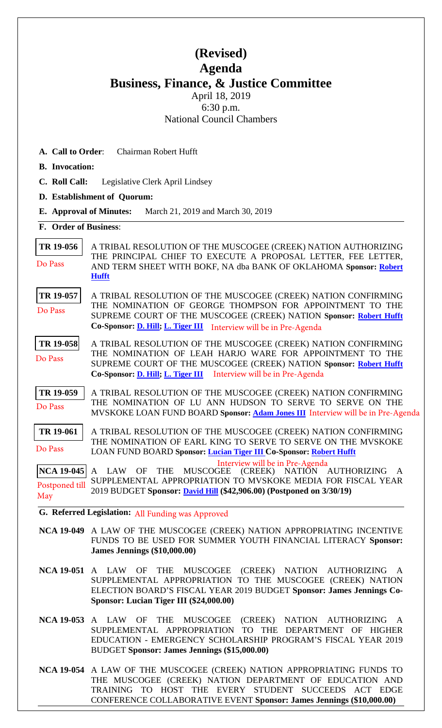## **(Revised) Agenda Business, Finance, & Justice Committee** April 18, 2019

6:30 p.m. National Council Chambers

**A. Call to Order**: Chairman Robert Hufft

- **B. Invocation:**
- **C. Roll Call:** Legislative Clerk April Lindsey
- **D. Establishment of Quorum:**
- **E. Approval of Minutes:** March 21, 2019 and March 30, 2019
- **F. Order of Business**:

**[TR 19-056](bills/19-056.pdf)** A TRIBAL RESOLUTION OF THE MUSCOGEE (CREEK) NATION AUTHORIZING THE PRINCIPAL CHIEF TO EXECUTE A PROPOSAL LETTER, FEE LETTER, AND TERM SHEET WITH BOKF, NA dba BANK OF OKLAHOMA **Sponsor: [Robert](mailto:mrrhufft@mcn-nsn.gov) Hufft** Do Pass

**[TR 19-057](bills/19-057.pdf)** A TRIBAL RESOLUTION OF THE MUSCOGEE (CREEK) NATION CONFIRMING THE NOMINATION OF GEORGE THOMPSON FOR APPOINTMENT TO THE SUPREME COURT OF THE MUSCOGEE (CREEK) NATION **Sponsor: [Robert](mailto:mrrhufft@mcn-nsn.gov) Hufft Co-Sponsor: D. [Hill;](mailto:dhill@mcn-nsn.gov) [L. Tiger III](mailto:ltiger@mcn-nsn.gov)** Interview will be in Pre-Agenda Do Pass

**[TR 19-058](bills/19-058.pdf)** A TRIBAL RESOLUTION OF THE MUSCOGEE (CREEK) NATION CONFIRMING THE NOMINATION OF LEAH HARJO WARE FOR APPOINTMENT TO THE SUPREME COURT OF THE MUSCOGEE (CREEK) NATION **Sponsor: [Robert](mailto:mrrhufft@mcn-nsn.gov) Hufft Co-Sponsor: D. [Hill;](mailto:dhill@mcn-nsn.gov) [L. Tiger III](mailto:ltiger@mcn-nsn.gov)** Interview will be in Pre-Agenda Do Pass

**[TR 19-059](bills/19-059.pdf)** A TRIBAL RESOLUTION OF THE MUSCOGEE (CREEK) NATION CONFIRMING THE NOMINATION OF LU ANN HUDSON TO SERVE TO SERVE ON THE MVSKOKE LOAN FUND BOARD **Sponsor: [Adam Jones III](mailto:ajones@mcn-nsn.gov)** Interview will be in Pre-Agenda Do Pass

**[TR 19-061](bills/19-061.pdf)** A TRIBAL RESOLUTION OF THE MUSCOGEE (CREEK) NATION CONFIRMING THE NOMINATION OF EARL KING TO SERVE TO SERVE ON THE MVSKOKE LOAN FUND BOARD **Sponsor: [Lucian Tiger III](mailto:ltiger@mcn-nsn.gov) Co-Sponsor: [Robert Hufft](mailto:rhufft@mcn-nsn.gov)**  Do Pass

**[NCA 19-045](bills/NCA19-045.pdf)** A LAW OF THE MUSCOGEE (CREEK) NATION AUTHORIZING A SUPPLEMENTAL APPROPRIATION TO MVSKOKE MEDIA FOR FISCAL YEAR 2019 BUDGET **Sponsor: [David Hill](mailto:dhill@mcn-nsn.gov) (\$42,906.00) (Postponed on 3/30/19)**  Postponed till May Interview will be in Pre-Agenda

**G. Referred Legislation:** All Funding was Approved

**NCA 19-049** A LAW OF THE MUSCOGEE (CREEK) NATION APPROPRIATING INCENTIVE FUNDS TO BE USED FOR SUMMER YOUTH FINANCIAL LITERACY **Sponsor: James Jennings (\$10,000.00)** 

**NCA 19-051** A LAW OF THE MUSCOGEE (CREEK) NATION AUTHORIZING A SUPPLEMENTAL APPROPRIATION TO THE MUSCOGEE (CREEK) NATION ELECTION BOARD'S FISCAL YEAR 2019 BUDGET **Sponsor: James Jennings Co-Sponsor: Lucian Tiger III (\$24,000.00)** 

**NCA 19-053** A LAW OF THE MUSCOGEE (CREEK) NATION AUTHORIZING A SUPPLEMENTAL APPROPRIATION TO THE DEPARTMENT OF HIGHER EDUCATION - EMERGENCY SCHOLARSHIP PROGRAM'S FISCAL YEAR 2019 BUDGET **Sponsor: James Jennings (\$15,000.00)** 

**NCA 19-054** A LAW OF THE MUSCOGEE (CREEK) NATION APPROPRIATING FUNDS TO THE MUSCOGEE (CREEK) NATION DEPARTMENT OF EDUCATION AND TRAINING TO HOST THE EVERY STUDENT SUCCEEDS ACT EDGE CONFERENCE COLLABORATIVE EVENT **Sponsor: James Jennings (\$10,000.00)**